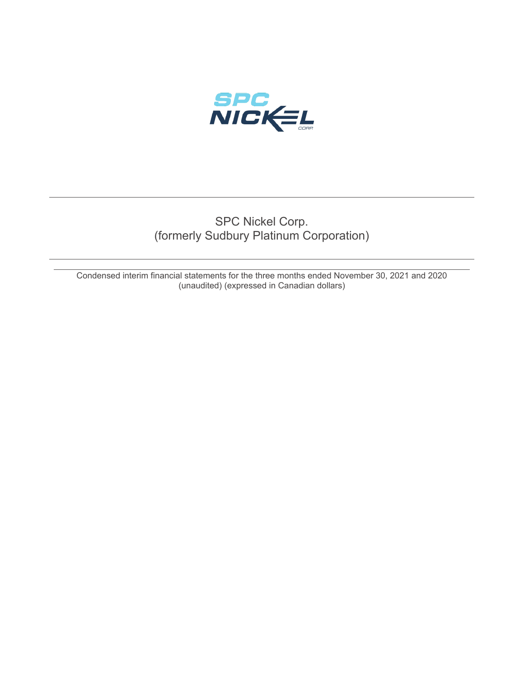

# SPC Nickel Corp. (formerly Sudbury Platinum Corporation)

Condensed interim financial statements for the three months ended November 30, 2021 and 2020 (unaudited) (expressed in Canadian dollars)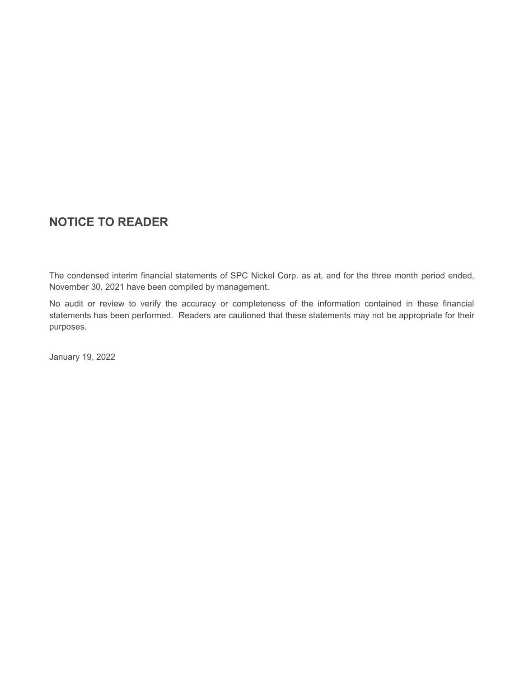# **NOTICE TO READER**

The condensed interim financial statements of SPC Nickel Corp. as at, and for the three month period ended, November 30, 2021 have been compiled by management.

No audit or review to verify the accuracy or completeness of the information contained in these financial statements has been performed. Readers are cautioned that these statements may not be appropriate for their purposes.

January 19, 2022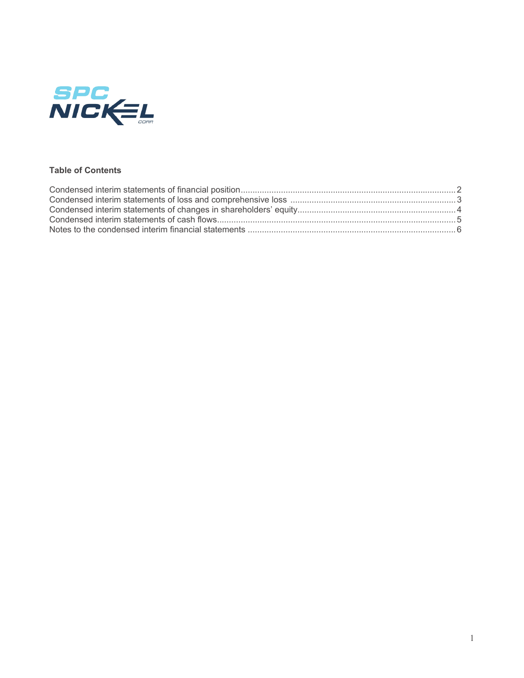

# **Table of Contents**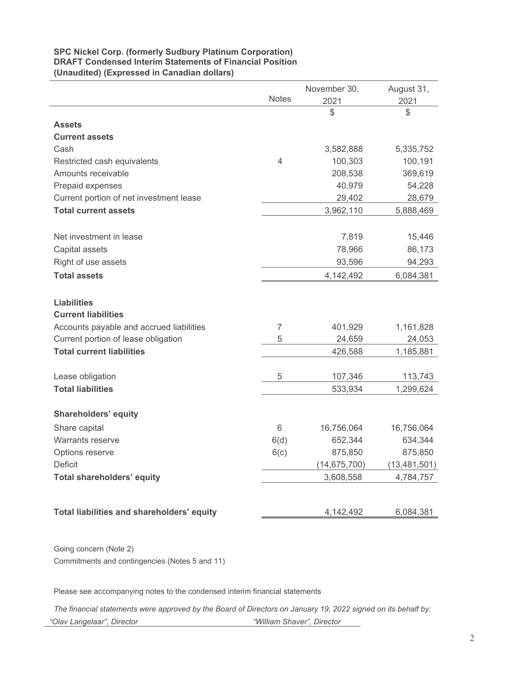# **SPC Nickel Corp. (formerly Sudbury Platinum Corporation) DRAFT Condensed Interim Statements of Financial Position (Unaudited) (Expressed in Canadian dollars)**

|                                            |                | November 30,   | August 31,     |
|--------------------------------------------|----------------|----------------|----------------|
|                                            | <b>Notes</b>   | 2021           | 2021           |
|                                            |                | \$             | \$             |
| <b>Assets</b>                              |                |                |                |
| <b>Current assets</b>                      |                |                |                |
| Cash                                       |                | 3,582,888      | 5,335,752      |
| Restricted cash equivalents                | $\overline{4}$ | 100,303        | 100,191        |
| Amounts receivable                         |                | 208,538        | 369,619        |
| Prepaid expenses                           |                | 40,979         | 54,228         |
| Current portion of net investment lease    |                | 29,402         | 28,679         |
| <b>Total current assets</b>                |                | 3,962,110      | 5,888,469      |
|                                            |                |                |                |
| Net investment in lease                    |                | 7,819          | 15,446         |
| Capital assets                             |                | 78,966         | 86,173         |
| Right of use assets                        |                | 93,596         | 94,293         |
| <b>Total assets</b>                        |                | 4,142,492      | 6,084,381      |
|                                            |                |                |                |
| <b>Liabilities</b>                         |                |                |                |
| <b>Current liabilities</b>                 |                |                |                |
| Accounts payable and accrued liabilities   | $\overline{7}$ | 401,929        | 1,161,828      |
| Current portion of lease obligation        | 5              | 24,659         | 24,053         |
| <b>Total current liabilities</b>           |                | 426,588        | 1,185,881      |
|                                            |                |                |                |
| Lease obligation                           | 5              | 107,346        | 113,743        |
| <b>Total liabilities</b>                   |                | 533,934        | 1,299,624      |
|                                            |                |                |                |
| <b>Shareholders' equity</b>                |                |                |                |
| Share capital                              | $6\phantom{1}$ | 16,756,064     | 16,756,064     |
| <b>Warrants reserve</b>                    | 6(d)           | 652,344        | 634,344        |
| Options reserve                            | 6(c)           | 875,850        | 875,850        |
| Deficit                                    |                | (14, 675, 700) | (13, 481, 501) |
| <b>Total shareholders' equity</b>          |                | 3,608,558      | 4,784,757      |
|                                            |                |                |                |
|                                            |                |                |                |
| Total liabilities and shareholders' equity |                | 4,142,492      | 6,084,381      |

Going concern (Note 2) Commitments and contingencies (Notes 5 and 11)

Please see accompanying notes to the condensed interim financial statements

*The financial statements were approved by the Board of Directors on January 19, 2022 signed on its behalf by: "Olav Langelaar", Director "William Shaver", Director*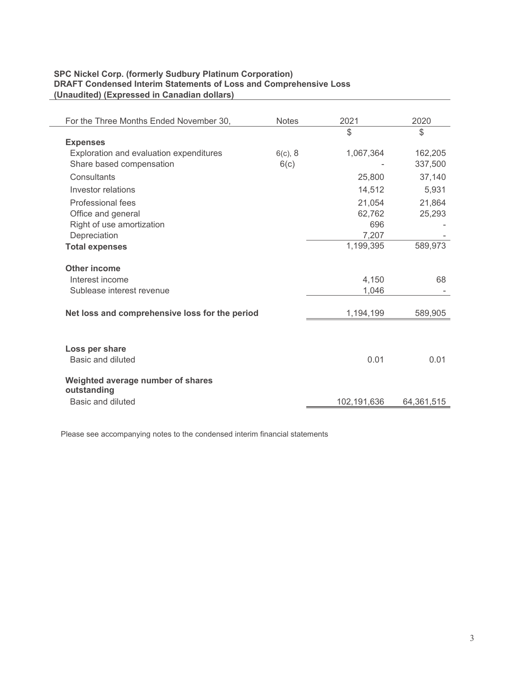# **SPC Nickel Corp. (formerly Sudbury Platinum Corporation) DRAFT Condensed Interim Statements of Loss and Comprehensive Loss (Unaudited) (Expressed in Canadian dollars)**

| For the Three Months Ended November 30,        | <b>Notes</b> | 2021          | 2020          |
|------------------------------------------------|--------------|---------------|---------------|
|                                                |              | $\mathcal{L}$ | $\mathcal{L}$ |
| <b>Expenses</b>                                |              |               |               |
| Exploration and evaluation expenditures        | $6(c)$ , 8   | 1,067,364     | 162,205       |
| Share based compensation                       | 6(c)         |               | 337,500       |
| Consultants                                    |              | 25,800        | 37,140        |
| Investor relations                             |              | 14,512        | 5,931         |
| Professional fees                              |              | 21,054        | 21,864        |
| Office and general                             |              | 62,762        | 25,293        |
| Right of use amortization                      |              | 696           |               |
| Depreciation                                   |              | 7,207         |               |
| <b>Total expenses</b>                          |              | 1,199,395     | 589,973       |
| <b>Other income</b>                            |              |               |               |
| Interest income                                |              | 4,150         | 68            |
| Sublease interest revenue                      |              | 1,046         |               |
|                                                |              |               |               |
| Net loss and comprehensive loss for the period |              | 1,194,199     | 589,905       |
|                                                |              |               |               |
| Loss per share                                 |              |               |               |
| Basic and diluted                              |              | 0.01          | 0.01          |
| Weighted average number of shares              |              |               |               |
| outstanding                                    |              |               |               |
| Basic and diluted                              |              | 102,191,636   | 64,361,515    |

Please see accompanying notes to the condensed interim financial statements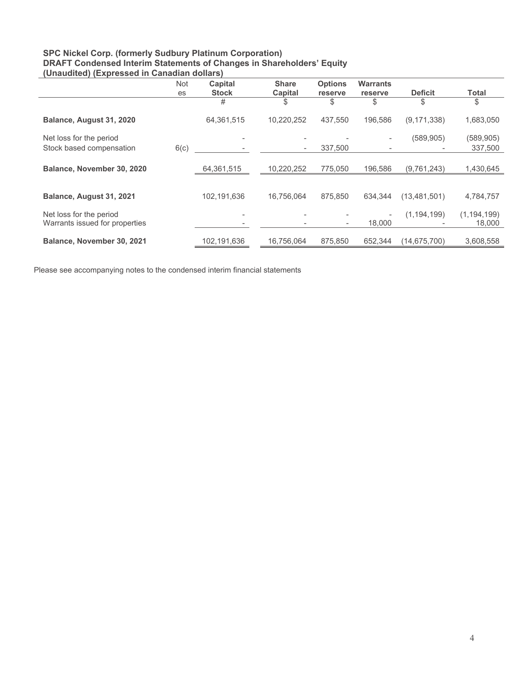### **SPC Nickel Corp. (formerly Sudbury Platinum Corporation) DRAFT Condensed Interim Statements of Changes in Shareholders' Equity (Unaudited) (Expressed in Canadian dollars)**

|                                                     | <b>Not</b> | Capital      | <b>Share</b>             | <b>Options</b>           | <b>Warrants</b>                                      |                |                       |
|-----------------------------------------------------|------------|--------------|--------------------------|--------------------------|------------------------------------------------------|----------------|-----------------------|
|                                                     | es         | <b>Stock</b> | Capital                  | reserve                  | reserve                                              | <b>Deficit</b> | <b>Total</b>          |
|                                                     |            | #            | \$                       | \$                       | \$                                                   | \$             | \$                    |
| Balance, August 31, 2020                            |            | 64,361,515   | 10,220,252               | 437,550                  | 196.586                                              | (9, 171, 338)  | 1,683,050             |
| Net loss for the period<br>Stock based compensation | 6(c)       |              | $\overline{\phantom{a}}$ | 337,500                  | $\overline{\phantom{a}}$<br>$\overline{\phantom{a}}$ | (589, 905)     | (589, 905)<br>337,500 |
|                                                     |            |              |                          |                          |                                                      |                |                       |
| Balance, November 30, 2020                          |            | 64,361,515   | 10,220,252               | 775,050                  | 196,586                                              | (9,761,243)    | 1,430,645             |
|                                                     |            |              |                          |                          |                                                      |                |                       |
| Balance, August 31, 2021                            |            | 102,191,636  | 16,756,064               | 875.850                  | 634.344                                              | (13, 481, 501) | 4,784,757             |
| Net loss for the period                             |            |              |                          |                          | $\overline{\phantom{a}}$                             | (1, 194, 199)  | (1, 194, 199)         |
| Warrants issued for properties                      |            |              |                          | $\overline{\phantom{a}}$ | 18,000                                               |                | 18,000                |
| Balance, November 30, 2021                          |            | 102,191,636  | 16.756.064               | 875.850                  | 652.344                                              | (14.675.700)   | 3,608,558             |

Please see accompanying notes to the condensed interim financial statements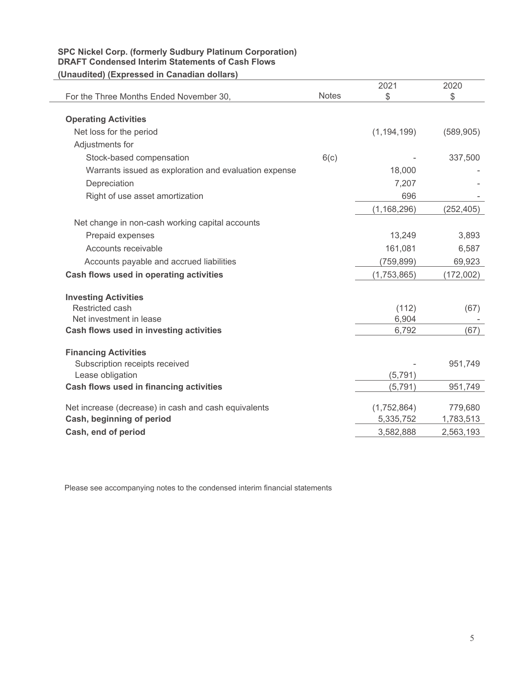# **SPC Nickel Corp. (formerly Sudbury Platinum Corporation) DRAFT Condensed Interim Statements of Cash Flows (Unaudited) (Expressed in Canadian dollars)**

| <u>911au 1110au - Api 0990a 111 0aniadian aonai 9</u> |              |               |            |
|-------------------------------------------------------|--------------|---------------|------------|
|                                                       |              | 2021          | 2020       |
| For the Three Months Ended November 30,               | <b>Notes</b> | \$            | \$         |
|                                                       |              |               |            |
| <b>Operating Activities</b>                           |              |               |            |
| Net loss for the period                               |              | (1, 194, 199) | (589, 905) |
| Adjustments for                                       |              |               |            |
| Stock-based compensation                              | 6(c)         |               | 337,500    |
| Warrants issued as exploration and evaluation expense |              | 18,000        |            |
| Depreciation                                          |              | 7,207         |            |
| Right of use asset amortization                       |              | 696           |            |
|                                                       |              | (1, 168, 296) | (252, 405) |
| Net change in non-cash working capital accounts       |              |               |            |
| Prepaid expenses                                      |              | 13,249        | 3,893      |
| Accounts receivable                                   |              | 161,081       | 6,587      |
| Accounts payable and accrued liabilities              |              | (759, 899)    | 69,923     |
| Cash flows used in operating activities               |              | (1,753,865)   | (172,002)  |
| <b>Investing Activities</b>                           |              |               |            |
| Restricted cash                                       |              | (112)         | (67)       |
| Net investment in lease                               |              | 6,904         |            |
| Cash flows used in investing activities               |              | 6,792         | (67)       |
| <b>Financing Activities</b>                           |              |               |            |
| Subscription receipts received                        |              |               | 951,749    |
| Lease obligation                                      |              | (5, 791)      |            |
| Cash flows used in financing activities               |              | (5, 791)      | 951,749    |
| Net increase (decrease) in cash and cash equivalents  |              | (1,752,864)   | 779,680    |
| Cash, beginning of period                             |              | 5,335,752     | 1,783,513  |
| Cash, end of period                                   |              | 3,582,888     | 2,563,193  |

Please see accompanying notes to the condensed interim financial statements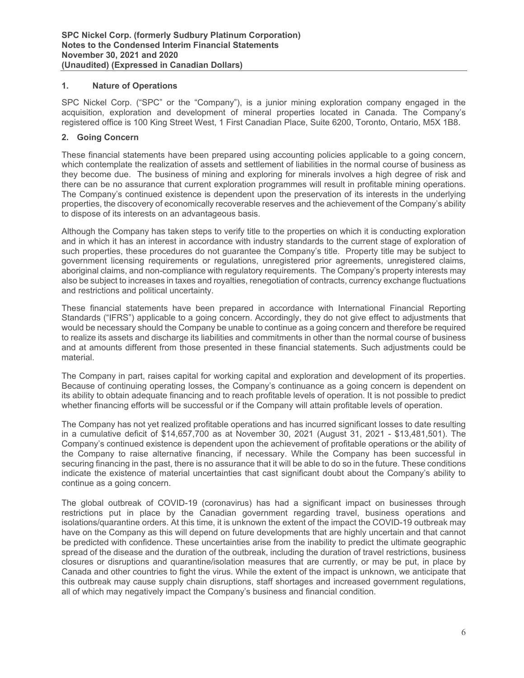# **1. Nature of Operations**

SPC Nickel Corp. ("SPC" or the "Company"), is a junior mining exploration company engaged in the acquisition, exploration and development of mineral properties located in Canada. The Company's registered office is 100 King Street West, 1 First Canadian Place, Suite 6200, Toronto, Ontario, M5X 1B8.

# **2. Going Concern**

These financial statements have been prepared using accounting policies applicable to a going concern, which contemplate the realization of assets and settlement of liabilities in the normal course of business as they become due. The business of mining and exploring for minerals involves a high degree of risk and there can be no assurance that current exploration programmes will result in profitable mining operations. The Company's continued existence is dependent upon the preservation of its interests in the underlying properties, the discovery of economically recoverable reserves and the achievement of the Company's ability to dispose of its interests on an advantageous basis.

Although the Company has taken steps to verify title to the properties on which it is conducting exploration and in which it has an interest in accordance with industry standards to the current stage of exploration of such properties, these procedures do not guarantee the Company's title. Property title may be subject to government licensing requirements or regulations, unregistered prior agreements, unregistered claims, aboriginal claims, and non-compliance with regulatory requirements. The Company's property interests may also be subject to increases in taxes and royalties, renegotiation of contracts, currency exchange fluctuations and restrictions and political uncertainty.

These financial statements have been prepared in accordance with International Financial Reporting Standards ("IFRS") applicable to a going concern. Accordingly, they do not give effect to adjustments that would be necessary should the Company be unable to continue as a going concern and therefore be required to realize its assets and discharge its liabilities and commitments in other than the normal course of business and at amounts different from those presented in these financial statements. Such adjustments could be material.

The Company in part, raises capital for working capital and exploration and development of its properties. Because of continuing operating losses, the Company's continuance as a going concern is dependent on its ability to obtain adequate financing and to reach profitable levels of operation. It is not possible to predict whether financing efforts will be successful or if the Company will attain profitable levels of operation.

The Company has not yet realized profitable operations and has incurred significant losses to date resulting in a cumulative deficit of \$14,657,700 as at November 30, 2021 (August 31, 2021 - \$13,481,501). The Company's continued existence is dependent upon the achievement of profitable operations or the ability of the Company to raise alternative financing, if necessary. While the Company has been successful in securing financing in the past, there is no assurance that it will be able to do so in the future. These conditions indicate the existence of material uncertainties that cast significant doubt about the Company's ability to continue as a going concern.

The global outbreak of COVID-19 (coronavirus) has had a significant impact on businesses through restrictions put in place by the Canadian government regarding travel, business operations and isolations/quarantine orders. At this time, it is unknown the extent of the impact the COVID-19 outbreak may have on the Company as this will depend on future developments that are highly uncertain and that cannot be predicted with confidence. These uncertainties arise from the inability to predict the ultimate geographic spread of the disease and the duration of the outbreak, including the duration of travel restrictions, business closures or disruptions and quarantine/isolation measures that are currently, or may be put, in place by Canada and other countries to fight the virus. While the extent of the impact is unknown, we anticipate that this outbreak may cause supply chain disruptions, staff shortages and increased government regulations, all of which may negatively impact the Company's business and financial condition.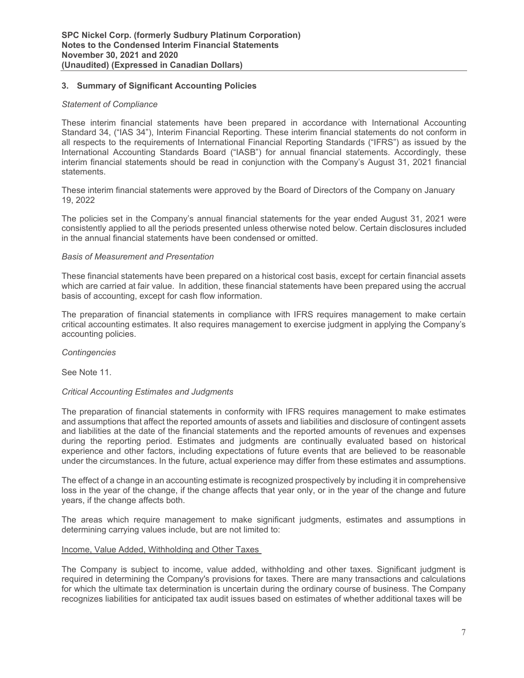# **3. Summary of Significant Accounting Policies**

# *Statement of Compliance*

These interim financial statements have been prepared in accordance with International Accounting Standard 34, ("IAS 34"), Interim Financial Reporting. These interim financial statements do not conform in all respects to the requirements of International Financial Reporting Standards ("IFRS") as issued by the International Accounting Standards Board ("IASB") for annual financial statements. Accordingly, these interim financial statements should be read in conjunction with the Company's August 31, 2021 financial statements.

These interim financial statements were approved by the Board of Directors of the Company on January 19, 2022

The policies set in the Company's annual financial statements for the year ended August 31, 2021 were consistently applied to all the periods presented unless otherwise noted below. Certain disclosures included in the annual financial statements have been condensed or omitted.

### *Basis of Measurement and Presentation*

These financial statements have been prepared on a historical cost basis, except for certain financial assets which are carried at fair value. In addition, these financial statements have been prepared using the accrual basis of accounting, except for cash flow information.

The preparation of financial statements in compliance with IFRS requires management to make certain critical accounting estimates. It also requires management to exercise judgment in applying the Company's accounting policies.

*Contingencies* 

See Note 11.

### *Critical Accounting Estimates and Judgments*

The preparation of financial statements in conformity with IFRS requires management to make estimates and assumptions that affect the reported amounts of assets and liabilities and disclosure of contingent assets and liabilities at the date of the financial statements and the reported amounts of revenues and expenses during the reporting period. Estimates and judgments are continually evaluated based on historical experience and other factors, including expectations of future events that are believed to be reasonable under the circumstances. In the future, actual experience may differ from these estimates and assumptions.

The effect of a change in an accounting estimate is recognized prospectively by including it in comprehensive loss in the year of the change, if the change affects that year only, or in the year of the change and future years, if the change affects both.

The areas which require management to make significant judgments, estimates and assumptions in determining carrying values include, but are not limited to:

### Income, Value Added, Withholding and Other Taxes

The Company is subject to income, value added, withholding and other taxes. Significant judgment is required in determining the Company's provisions for taxes. There are many transactions and calculations for which the ultimate tax determination is uncertain during the ordinary course of business. The Company recognizes liabilities for anticipated tax audit issues based on estimates of whether additional taxes will be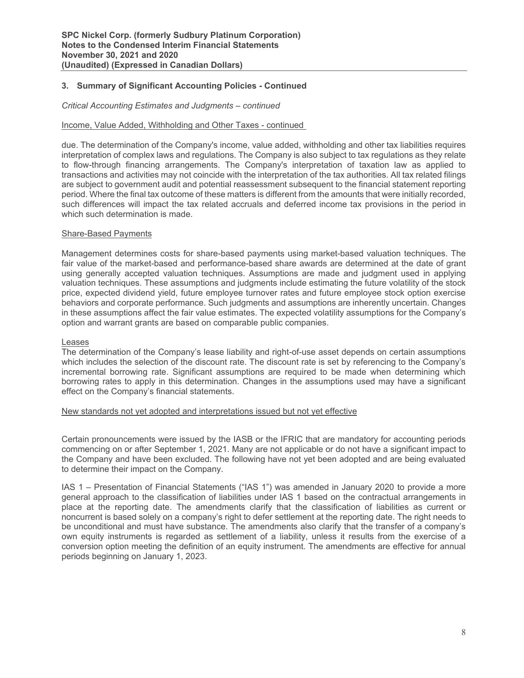# **3. Summary of Significant Accounting Policies - Continued**

#### *Critical Accounting Estimates and Judgments – continued*

### Income, Value Added, Withholding and Other Taxes - continued

due. The determination of the Company's income, value added, withholding and other tax liabilities requires interpretation of complex laws and regulations. The Company is also subject to tax regulations as they relate to flow-through financing arrangements. The Company's interpretation of taxation law as applied to transactions and activities may not coincide with the interpretation of the tax authorities. All tax related filings are subject to government audit and potential reassessment subsequent to the financial statement reporting period. Where the final tax outcome of these matters is different from the amounts that were initially recorded, such differences will impact the tax related accruals and deferred income tax provisions in the period in which such determination is made.

#### Share-Based Payments

Management determines costs for share-based payments using market-based valuation techniques. The fair value of the market-based and performance-based share awards are determined at the date of grant using generally accepted valuation techniques. Assumptions are made and judgment used in applying valuation techniques. These assumptions and judgments include estimating the future volatility of the stock price, expected dividend yield, future employee turnover rates and future employee stock option exercise behaviors and corporate performance. Such judgments and assumptions are inherently uncertain. Changes in these assumptions affect the fair value estimates. The expected volatility assumptions for the Company's option and warrant grants are based on comparable public companies.

#### Leases

The determination of the Company's lease liability and right-of-use asset depends on certain assumptions which includes the selection of the discount rate. The discount rate is set by referencing to the Company's incremental borrowing rate. Significant assumptions are required to be made when determining which borrowing rates to apply in this determination. Changes in the assumptions used may have a significant effect on the Company's financial statements.

### New standards not yet adopted and interpretations issued but not yet effective

Certain pronouncements were issued by the IASB or the IFRIC that are mandatory for accounting periods commencing on or after September 1, 2021. Many are not applicable or do not have a significant impact to the Company and have been excluded. The following have not yet been adopted and are being evaluated to determine their impact on the Company.

IAS 1 – Presentation of Financial Statements ("IAS 1") was amended in January 2020 to provide a more general approach to the classification of liabilities under IAS 1 based on the contractual arrangements in place at the reporting date. The amendments clarify that the classification of liabilities as current or noncurrent is based solely on a company's right to defer settlement at the reporting date. The right needs to be unconditional and must have substance. The amendments also clarify that the transfer of a company's own equity instruments is regarded as settlement of a liability, unless it results from the exercise of a conversion option meeting the definition of an equity instrument. The amendments are effective for annual periods beginning on January 1, 2023.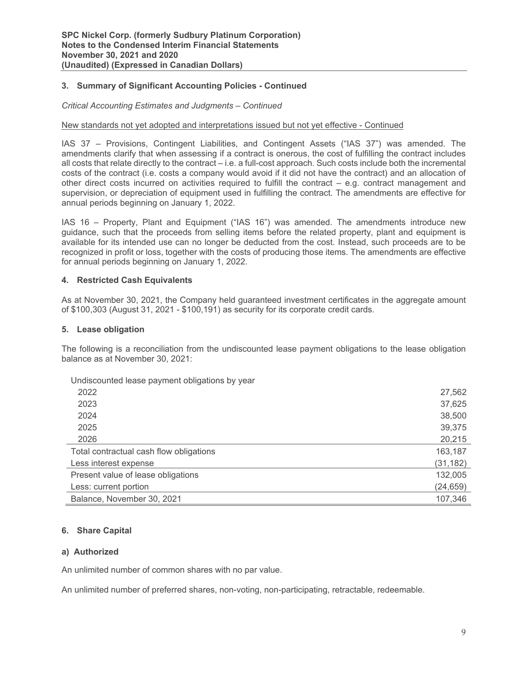# **3. Summary of Significant Accounting Policies - Continued**

### *Critical Accounting Estimates and Judgments – Continued*

#### New standards not yet adopted and interpretations issued but not yet effective - Continued

IAS 37 – Provisions, Contingent Liabilities, and Contingent Assets ("IAS 37") was amended. The amendments clarify that when assessing if a contract is onerous, the cost of fulfilling the contract includes all costs that relate directly to the contract – i.e. a full-cost approach. Such costs include both the incremental costs of the contract (i.e. costs a company would avoid if it did not have the contract) and an allocation of other direct costs incurred on activities required to fulfill the contract – e.g. contract management and supervision, or depreciation of equipment used in fulfilling the contract. The amendments are effective for annual periods beginning on January 1, 2022.

IAS 16 – Property, Plant and Equipment ("IAS 16") was amended. The amendments introduce new guidance, such that the proceeds from selling items before the related property, plant and equipment is available for its intended use can no longer be deducted from the cost. Instead, such proceeds are to be recognized in profit or loss, together with the costs of producing those items. The amendments are effective for annual periods beginning on January 1, 2022.

### **4. Restricted Cash Equivalents**

As at November 30, 2021, the Company held guaranteed investment certificates in the aggregate amount of \$100,303 (August 31, 2021 - \$100,191) as security for its corporate credit cards.

### **5. Lease obligation**

The following is a reconciliation from the undiscounted lease payment obligations to the lease obligation balance as at November 30, 2021:

Undiscounted lease payment obligations by year

| 2022                                    | 27,562    |
|-----------------------------------------|-----------|
| 2023                                    | 37,625    |
| 2024                                    | 38,500    |
| 2025                                    | 39,375    |
| 2026                                    | 20,215    |
| Total contractual cash flow obligations | 163,187   |
| Less interest expense                   | (31, 182) |
| Present value of lease obligations      | 132,005   |
| Less: current portion                   | (24, 659) |
| Balance, November 30, 2021              | 107,346   |

### **6. Share Capital**

### **a) Authorized**

An unlimited number of common shares with no par value.

An unlimited number of preferred shares, non-voting, non-participating, retractable, redeemable.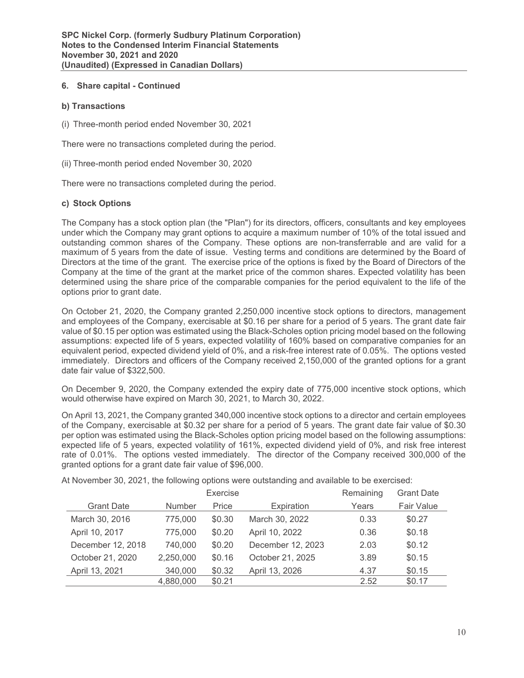# **6. Share capital - Continued**

# **b) Transactions**

(i) Three-month period ended November 30, 2021

There were no transactions completed during the period.

(ii) Three-month period ended November 30, 2020

There were no transactions completed during the period.

# **c) Stock Options**

The Company has a stock option plan (the "Plan") for its directors, officers, consultants and key employees under which the Company may grant options to acquire a maximum number of 10% of the total issued and outstanding common shares of the Company. These options are non-transferrable and are valid for a maximum of 5 years from the date of issue. Vesting terms and conditions are determined by the Board of Directors at the time of the grant. The exercise price of the options is fixed by the Board of Directors of the Company at the time of the grant at the market price of the common shares. Expected volatility has been determined using the share price of the comparable companies for the period equivalent to the life of the options prior to grant date.

On October 21, 2020, the Company granted 2,250,000 incentive stock options to directors, management and employees of the Company, exercisable at \$0.16 per share for a period of 5 years. The grant date fair value of \$0.15 per option was estimated using the Black-Scholes option pricing model based on the following assumptions: expected life of 5 years, expected volatility of 160% based on comparative companies for an equivalent period, expected dividend yield of 0%, and a risk-free interest rate of 0.05%. The options vested immediately. Directors and officers of the Company received 2,150,000 of the granted options for a grant date fair value of \$322,500.

On December 9, 2020, the Company extended the expiry date of 775,000 incentive stock options, which would otherwise have expired on March 30, 2021, to March 30, 2022.

On April 13, 2021, the Company granted 340,000 incentive stock options to a director and certain employees of the Company, exercisable at \$0.32 per share for a period of 5 years. The grant date fair value of \$0.30 per option was estimated using the Black-Scholes option pricing model based on the following assumptions: expected life of 5 years, expected volatility of 161%, expected dividend yield of 0%, and risk free interest rate of 0.01%. The options vested immediately. The director of the Company received 300,000 of the granted options for a grant date fair value of \$96,000.

At November 30, 2021, the following options were outstanding and available to be exercised:

|                   |               | <b>Exercise</b> |                   | Remaining | <b>Grant Date</b> |
|-------------------|---------------|-----------------|-------------------|-----------|-------------------|
| <b>Grant Date</b> | <b>Number</b> | Price           | Expiration        | Years     | <b>Fair Value</b> |
| March 30, 2016    | 775,000       | \$0.30          | March 30, 2022    | 0.33      | \$0.27            |
| April 10, 2017    | 775,000       | \$0.20          | April 10, 2022    | 0.36      | \$0.18            |
| December 12, 2018 | 740,000       | \$0.20          | December 12, 2023 | 2.03      | \$0.12            |
| October 21, 2020  | 2,250,000     | \$0.16          | October 21, 2025  | 3.89      | \$0.15            |
| April 13, 2021    | 340,000       | \$0.32          | April 13, 2026    | 4.37      | \$0.15            |
|                   | 4,880,000     | \$0.21          |                   | 2.52      | \$0.17            |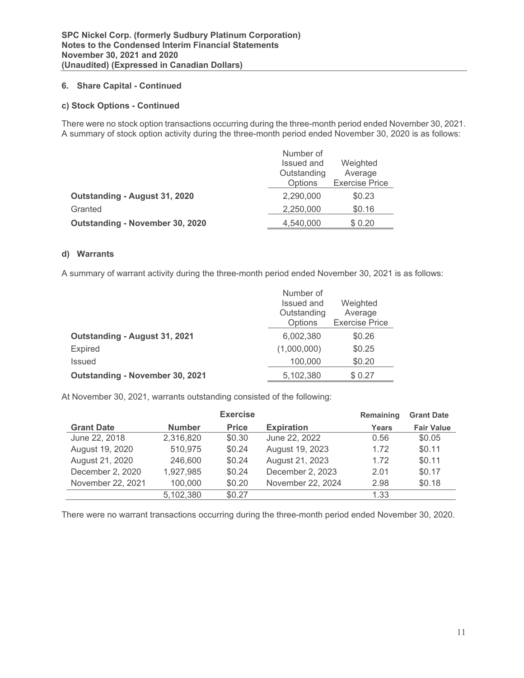# **6. Share Capital - Continued**

# **c) Stock Options - Continued**

There were no stock option transactions occurring during the three-month period ended November 30, 2021. A summary of stock option activity during the three-month period ended November 30, 2020 is as follows:

|                                 | Number of   |                       |
|---------------------------------|-------------|-----------------------|
|                                 | Issued and  | Weighted              |
|                                 | Outstanding | Average               |
|                                 | Options     | <b>Exercise Price</b> |
| Outstanding - August 31, 2020   | 2,290,000   | \$0.23                |
| Granted                         | 2,250,000   | \$0.16                |
| Outstanding - November 30, 2020 | 4,540,000   | \$0.20                |

# **d) Warrants**

A summary of warrant activity during the three-month period ended November 30, 2021 is as follows:

|                                 | Number of   |                       |
|---------------------------------|-------------|-----------------------|
|                                 | Issued and  | Weighted              |
|                                 | Outstanding | Average               |
|                                 | Options     | <b>Exercise Price</b> |
| Outstanding - August 31, 2021   | 6,002,380   | \$0.26                |
| <b>Expired</b>                  | (1,000,000) | \$0.25                |
| <b>Issued</b>                   | 100,000     | \$0.20                |
| Outstanding - November 30, 2021 | 5,102,380   | \$0.27                |

At November 30, 2021, warrants outstanding consisted of the following:

|                   |               | <b>Exercise</b> |                   | Remaining | <b>Grant Date</b> |
|-------------------|---------------|-----------------|-------------------|-----------|-------------------|
| <b>Grant Date</b> | <b>Number</b> | <b>Price</b>    | <b>Expiration</b> | Years     | <b>Fair Value</b> |
| June 22, 2018     | 2,316,820     | \$0.30          | June 22, 2022     | 0.56      | \$0.05            |
| August 19, 2020   | 510,975       | \$0.24          | August 19, 2023   | 1.72      | \$0.11            |
| August 21, 2020   | 246,600       | \$0.24          | August 21, 2023   | 1.72      | \$0.11            |
| December 2, 2020  | 1,927,985     | \$0.24          | December 2, 2023  | 2.01      | \$0.17            |
| November 22, 2021 | 100,000       | \$0.20          | November 22, 2024 | 2.98      | \$0.18            |
|                   | 5,102,380     | \$0.27          |                   | 1.33      |                   |

There were no warrant transactions occurring during the three-month period ended November 30, 2020.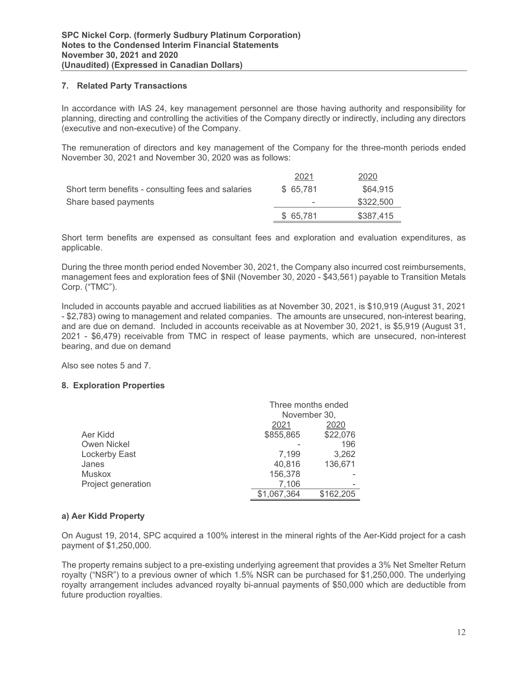# **7. Related Party Transactions**

In accordance with IAS 24, key management personnel are those having authority and responsibility for planning, directing and controlling the activities of the Company directly or indirectly, including any directors (executive and non-executive) of the Company.

The remuneration of directors and key management of the Company for the three-month periods ended November 30, 2021 and November 30, 2020 was as follows:

|                                                    | 2021      | 2020      |
|----------------------------------------------------|-----------|-----------|
| Short term benefits - consulting fees and salaries | \$ 65.781 | \$64,915  |
| Share based payments                               | -         | \$322,500 |
|                                                    | \$ 65.781 | \$387,415 |

Short term benefits are expensed as consultant fees and exploration and evaluation expenditures, as applicable.

During the three month period ended November 30, 2021, the Company also incurred cost reimbursements, management fees and exploration fees of \$Nil (November 30, 2020 - \$43,561) payable to Transition Metals Corp. ("TMC").

Included in accounts payable and accrued liabilities as at November 30, 2021, is \$10,919 (August 31, 2021 - \$2,783) owing to management and related companies. The amounts are unsecured, non-interest bearing, and are due on demand. Included in accounts receivable as at November 30, 2021, is \$5,919 (August 31, 2021 - \$6,479) receivable from TMC in respect of lease payments, which are unsecured, non-interest bearing, and due on demand

Also see notes 5 and 7.

# **8. Exploration Properties**

|                    | Three months ended |           |  |
|--------------------|--------------------|-----------|--|
|                    | November 30,       |           |  |
|                    | 2021               | 2020      |  |
| Aer Kidd           | \$855,865          | \$22,076  |  |
| Owen Nickel        |                    | 196       |  |
| Lockerby East      | 7,199              | 3,262     |  |
| Janes              | 40,816             | 136,671   |  |
| <b>Muskox</b>      | 156,378            |           |  |
| Project generation | 7,106              |           |  |
|                    | \$1,067,364        | \$162,205 |  |

# **a) Aer Kidd Property**

On August 19, 2014, SPC acquired a 100% interest in the mineral rights of the Aer-Kidd project for a cash payment of \$1,250,000.

The property remains subject to a pre-existing underlying agreement that provides a 3% Net Smelter Return royalty ("NSR") to a previous owner of which 1.5% NSR can be purchased for \$1,250,000. The underlying royalty arrangement includes advanced royalty bi-annual payments of \$50,000 which are deductible from future production royalties.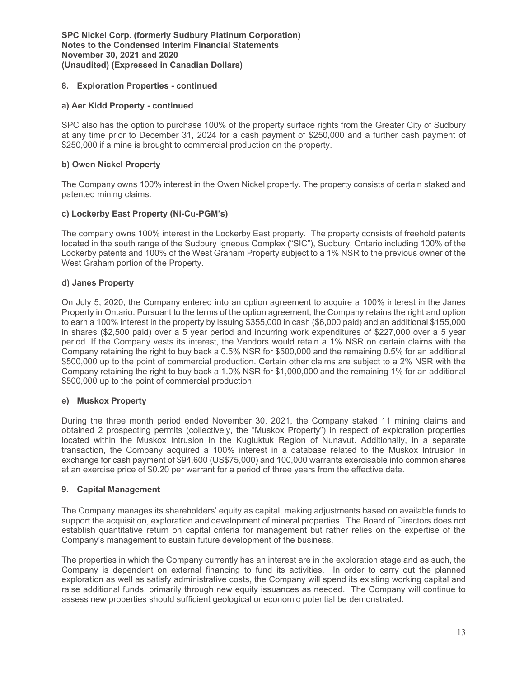# **8. Exploration Properties - continued**

# **a) Aer Kidd Property - continued**

SPC also has the option to purchase 100% of the property surface rights from the Greater City of Sudbury at any time prior to December 31, 2024 for a cash payment of \$250,000 and a further cash payment of \$250,000 if a mine is brought to commercial production on the property.

# **b) Owen Nickel Property**

The Company owns 100% interest in the Owen Nickel property. The property consists of certain staked and patented mining claims.

# **c) Lockerby East Property (Ni-Cu-PGM's)**

The company owns 100% interest in the Lockerby East property. The property consists of freehold patents located in the south range of the Sudbury Igneous Complex ("SIC"), Sudbury, Ontario including 100% of the Lockerby patents and 100% of the West Graham Property subject to a 1% NSR to the previous owner of the West Graham portion of the Property.

# **d) Janes Property**

On July 5, 2020, the Company entered into an option agreement to acquire a 100% interest in the Janes Property in Ontario. Pursuant to the terms of the option agreement, the Company retains the right and option to earn a 100% interest in the property by issuing \$355,000 in cash (\$6,000 paid) and an additional \$155,000 in shares (\$2,500 paid) over a 5 year period and incurring work expenditures of \$227,000 over a 5 year period. If the Company vests its interest, the Vendors would retain a 1% NSR on certain claims with the Company retaining the right to buy back a 0.5% NSR for \$500,000 and the remaining 0.5% for an additional \$500,000 up to the point of commercial production. Certain other claims are subject to a 2% NSR with the Company retaining the right to buy back a 1.0% NSR for \$1,000,000 and the remaining 1% for an additional \$500,000 up to the point of commercial production.

### **e) Muskox Property**

During the three month period ended November 30, 2021, the Company staked 11 mining claims and obtained 2 prospecting permits (collectively, the "Muskox Property") in respect of exploration properties located within the Muskox Intrusion in the Kugluktuk Region of Nunavut. Additionally, in a separate transaction, the Company acquired a 100% interest in a database related to the Muskox Intrusion in exchange for cash payment of \$94,600 (US\$75,000) and 100,000 warrants exercisable into common shares at an exercise price of \$0.20 per warrant for a period of three years from the effective date.

# **9. Capital Management**

The Company manages its shareholders' equity as capital, making adjustments based on available funds to support the acquisition, exploration and development of mineral properties. The Board of Directors does not establish quantitative return on capital criteria for management but rather relies on the expertise of the Company's management to sustain future development of the business.

The properties in which the Company currently has an interest are in the exploration stage and as such, the Company is dependent on external financing to fund its activities. In order to carry out the planned exploration as well as satisfy administrative costs, the Company will spend its existing working capital and raise additional funds, primarily through new equity issuances as needed. The Company will continue to assess new properties should sufficient geological or economic potential be demonstrated.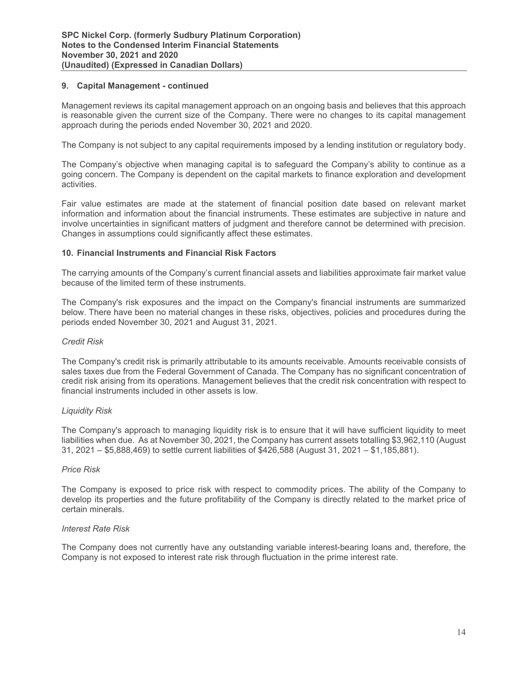### **9. Capital Management - continued**

Management reviews its capital management approach on an ongoing basis and believes that this approach is reasonable given the current size of the Company. There were no changes to its capital management approach during the periods ended November 30, 2021 and 2020.

The Company is not subject to any capital requirements imposed by a lending institution or regulatory body.

The Company's objective when managing capital is to safeguard the Company's ability to continue as a going concern. The Company is dependent on the capital markets to finance exploration and development activities.

Fair value estimates are made at the statement of financial position date based on relevant market information and information about the financial instruments. These estimates are subjective in nature and involve uncertainties in significant matters of judgment and therefore cannot be determined with precision. Changes in assumptions could significantly affect these estimates.

### **10. Financial Instruments and Financial Risk Factors**

The carrying amounts of the Company's current financial assets and liabilities approximate fair market value because of the limited term of these instruments.

The Company's risk exposures and the impact on the Company's financial instruments are summarized below. There have been no material changes in these risks, objectives, policies and procedures during the periods ended November 30, 2021 and August 31, 2021.

### *Credit Risk*

The Company's credit risk is primarily attributable to its amounts receivable. Amounts receivable consists of sales taxes due from the Federal Government of Canada. The Company has no significant concentration of credit risk arising from its operations. Management believes that the credit risk concentration with respect to financial instruments included in other assets is low.

### *Liquidity Risk*

The Company's approach to managing liquidity risk is to ensure that it will have sufficient liquidity to meet liabilities when due. As at November 30, 2021, the Company has current assets totalling \$3,962,110 (August 31, 2021 – \$5,888,469) to settle current liabilities of \$426,588 (August 31, 2021 – \$1,185,881).

### *Price Risk*

The Company is exposed to price risk with respect to commodity prices. The ability of the Company to develop its properties and the future profitability of the Company is directly related to the market price of certain minerals.

# *Interest Rate Risk*

The Company does not currently have any outstanding variable interest-bearing loans and, therefore, the Company is not exposed to interest rate risk through fluctuation in the prime interest rate.